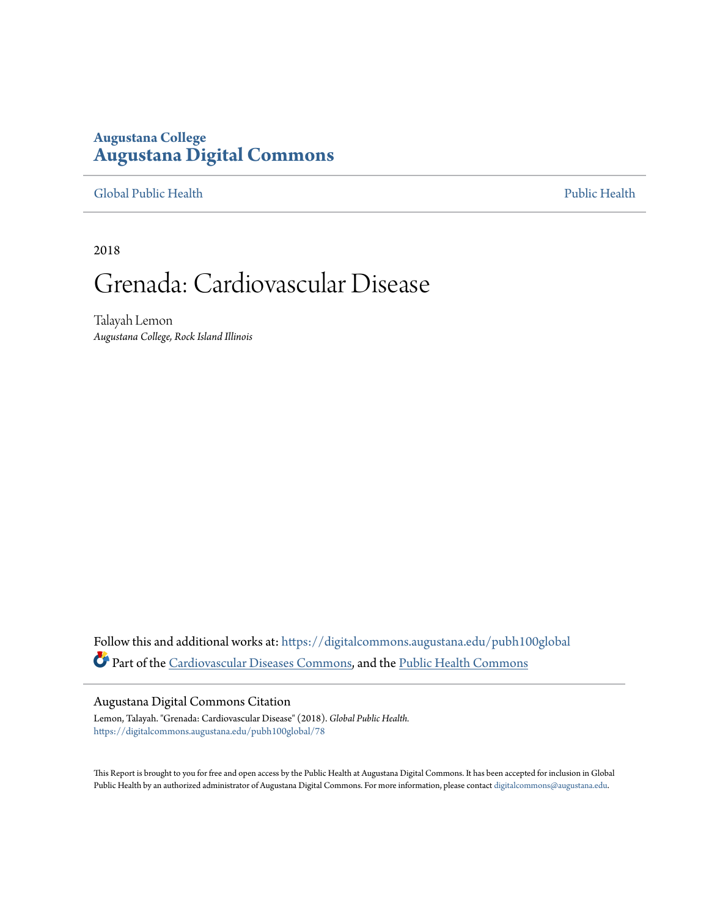## **Augustana College [Augustana Digital Commons](https://digitalcommons.augustana.edu?utm_source=digitalcommons.augustana.edu%2Fpubh100global%2F78&utm_medium=PDF&utm_campaign=PDFCoverPages)**

### [Global Public Health](https://digitalcommons.augustana.edu/pubh100global?utm_source=digitalcommons.augustana.edu%2Fpubh100global%2F78&utm_medium=PDF&utm_campaign=PDFCoverPages) [Public Health](https://digitalcommons.augustana.edu/publichealth?utm_source=digitalcommons.augustana.edu%2Fpubh100global%2F78&utm_medium=PDF&utm_campaign=PDFCoverPages)

2018

## Grenada: Cardiovascular Disease

Talayah Lemon *Augustana College, Rock Island Illinois*

Follow this and additional works at: [https://digitalcommons.augustana.edu/pubh100global](https://digitalcommons.augustana.edu/pubh100global?utm_source=digitalcommons.augustana.edu%2Fpubh100global%2F78&utm_medium=PDF&utm_campaign=PDFCoverPages) Part of the [Cardiovascular Diseases Commons,](http://network.bepress.com/hgg/discipline/929?utm_source=digitalcommons.augustana.edu%2Fpubh100global%2F78&utm_medium=PDF&utm_campaign=PDFCoverPages) and the [Public Health Commons](http://network.bepress.com/hgg/discipline/738?utm_source=digitalcommons.augustana.edu%2Fpubh100global%2F78&utm_medium=PDF&utm_campaign=PDFCoverPages)

#### Augustana Digital Commons Citation

Lemon, Talayah. "Grenada: Cardiovascular Disease" (2018). *Global Public Health.* [https://digitalcommons.augustana.edu/pubh100global/78](https://digitalcommons.augustana.edu/pubh100global/78?utm_source=digitalcommons.augustana.edu%2Fpubh100global%2F78&utm_medium=PDF&utm_campaign=PDFCoverPages)

This Report is brought to you for free and open access by the Public Health at Augustana Digital Commons. It has been accepted for inclusion in Global Public Health by an authorized administrator of Augustana Digital Commons. For more information, please contact [digitalcommons@augustana.edu.](mailto:digitalcommons@augustana.edu)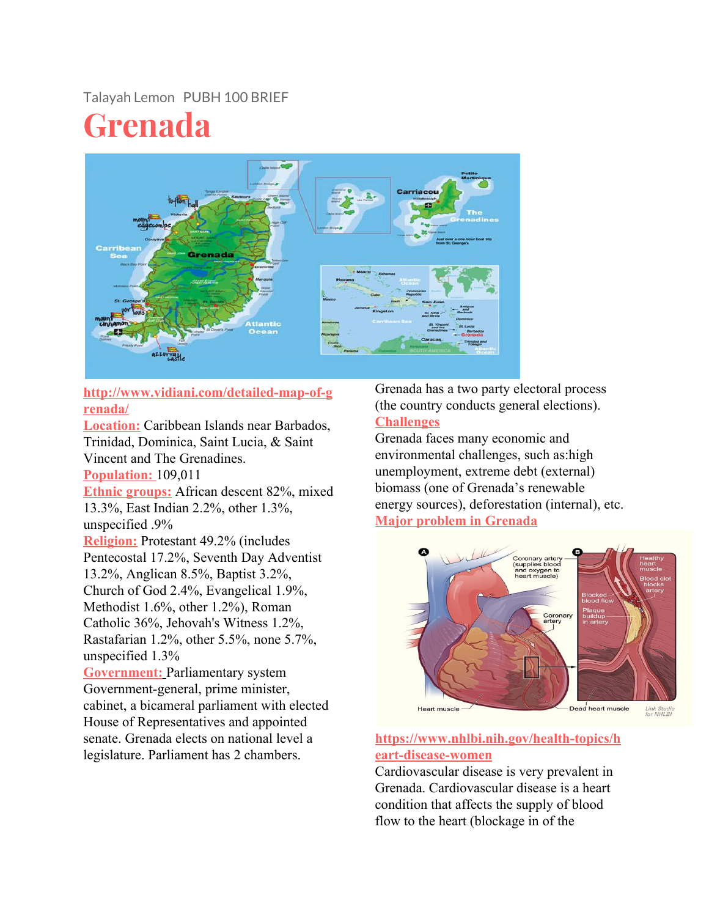## Talayah Lemon PUBH 100 BRIEF

# **Grenada**



**http://www.vidiani.com/detailed-map-of-g renada/**

**Location:** Caribbean Islands near Barbados, Trinidad, Dominica, Saint Lucia, & Saint Vincent and The Grenadines.

**Population:** 109,011

**Ethnic groups:** African descent 82%, mixed 13.3%, East Indian 2.2%, other 1.3%, unspecified .9%

**Religion:** Protestant 49.2% (includes Pentecostal 17.2%, Seventh Day Adventist 13.2%, Anglican 8.5%, Baptist 3.2%, Church of God 2.4%, Evangelical 1.9%, Methodist 1.6%, other 1.2%), Roman Catholic 36%, Jehovah's Witness 1.2%, Rastafarian 1.2%, other 5.5%, none 5.7%, unspecified 1.3%

**Government:** Parliamentary system Government-general, prime minister, cabinet, a bicameral parliament with elected House of Representatives and appointed senate. Grenada elects on national level a legislature. Parliament has 2 chambers.

Grenada has a two party electoral process (the country conducts general elections). **Challenges**

Grenada faces many economic and environmental challenges, such as:high unemployment, extreme debt (external) biomass (one of Grenada's renewable energy sources), deforestation (internal), etc. **Major problem in Grenada**



**https://www.nhlbi.nih.gov/health-topics/h eart-disease-women**

Cardiovascular disease is very prevalent in Grenada. Cardiovascular disease is a heart condition that affects the supply of blood flow to the heart (blockage in of the